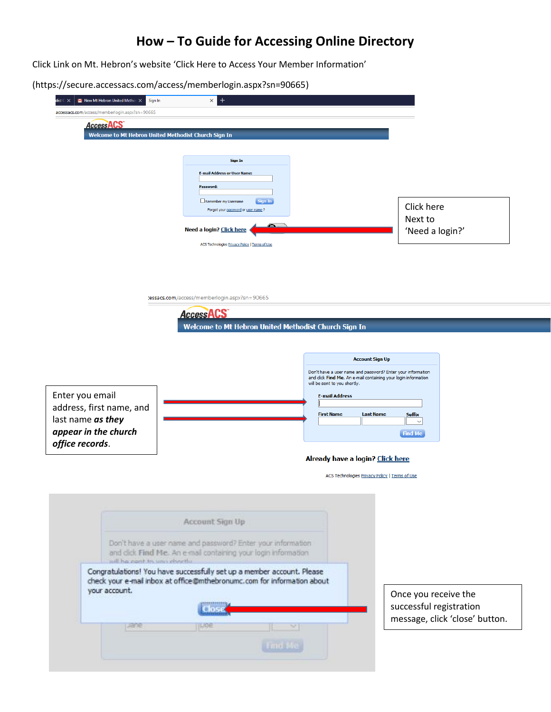## **How – To Guide for Accessing Online Directory**

Click Link on Mt. Hebron's website 'Click Here to Access Your Member Information'

(https://secure.accessacs.com/access/memberlogin.aspx?sn=90665)

| New Mt Hebron United Methor X<br>Sign In<br>$\mathsf{list} \in \mathsf{X}$ | $\,{}^+$<br>$\times$                                                                                                                              |                                                                                                |
|----------------------------------------------------------------------------|---------------------------------------------------------------------------------------------------------------------------------------------------|------------------------------------------------------------------------------------------------|
| accessacs.com/access/memberlogin.aspx?sn=90665                             |                                                                                                                                                   |                                                                                                |
| Access <sub>ACS</sub>                                                      | Welcome to Mt Hebron United Methodist Church Sign In                                                                                              |                                                                                                |
|                                                                            |                                                                                                                                                   |                                                                                                |
|                                                                            | <b>Sign In</b>                                                                                                                                    |                                                                                                |
|                                                                            | <b>E-mail Address or User Name:</b>                                                                                                               |                                                                                                |
|                                                                            | Password:                                                                                                                                         |                                                                                                |
|                                                                            | Remember my Username<br>Sign In<br>Forgot your password or user name ?                                                                            | Click here                                                                                     |
|                                                                            | Need a login? Click here                                                                                                                          | Next to<br>'Need a login?'                                                                     |
|                                                                            | ACS Technologies Privacy Policy   Terms of Use                                                                                                    |                                                                                                |
|                                                                            |                                                                                                                                                   |                                                                                                |
|                                                                            |                                                                                                                                                   |                                                                                                |
|                                                                            |                                                                                                                                                   |                                                                                                |
|                                                                            | :essacs.com/access/memberlogin.aspx?sn=90665                                                                                                      |                                                                                                |
|                                                                            | <b>AccessACS</b>                                                                                                                                  |                                                                                                |
|                                                                            | Welcome to Mt Hebron United Methodist Church Sign In                                                                                              |                                                                                                |
|                                                                            |                                                                                                                                                   |                                                                                                |
|                                                                            |                                                                                                                                                   | <b>Account Sign Up</b>                                                                         |
|                                                                            |                                                                                                                                                   | Don't have a user name and password? Enter your information                                    |
|                                                                            |                                                                                                                                                   | and click Find Me. An e-mail containing your login information<br>will be sent to you shortly. |
| Enter you email                                                            |                                                                                                                                                   | <b>E-mail Address</b>                                                                          |
| address, first name, and                                                   |                                                                                                                                                   | <b>First Name</b><br><b>Last Name</b><br><b>Suffix</b>                                         |
| last name as they<br>appear in the church                                  |                                                                                                                                                   | $\checkmark$                                                                                   |
| office records.                                                            |                                                                                                                                                   | <b>Find Me</b>                                                                                 |
|                                                                            |                                                                                                                                                   | Already have a login? Click here                                                               |
|                                                                            |                                                                                                                                                   | ACS Technologies Privacy Policy   Terms of Use                                                 |
|                                                                            |                                                                                                                                                   |                                                                                                |
|                                                                            |                                                                                                                                                   |                                                                                                |
|                                                                            |                                                                                                                                                   |                                                                                                |
|                                                                            |                                                                                                                                                   |                                                                                                |
|                                                                            | Account Sign Up                                                                                                                                   |                                                                                                |
|                                                                            | Don't have a user name and password? Enter your information                                                                                       |                                                                                                |
|                                                                            | and dick Find Me. An e-mail containing your login information                                                                                     |                                                                                                |
| will ha cont to unci choctly.                                              |                                                                                                                                                   |                                                                                                |
|                                                                            | Congratulations! You have successfully set up a member account. Please<br>check your e-mail inbox at office@mthebronumc.com for information about |                                                                                                |
| your account.                                                              |                                                                                                                                                   | Once you receive the                                                                           |
|                                                                            | Close                                                                                                                                             | successful registration                                                                        |
| <b>Lane</b>                                                                | Ilinge<br>×                                                                                                                                       | message, click 'close' button.                                                                 |
|                                                                            | <b>VIRTH BAS</b>                                                                                                                                  |                                                                                                |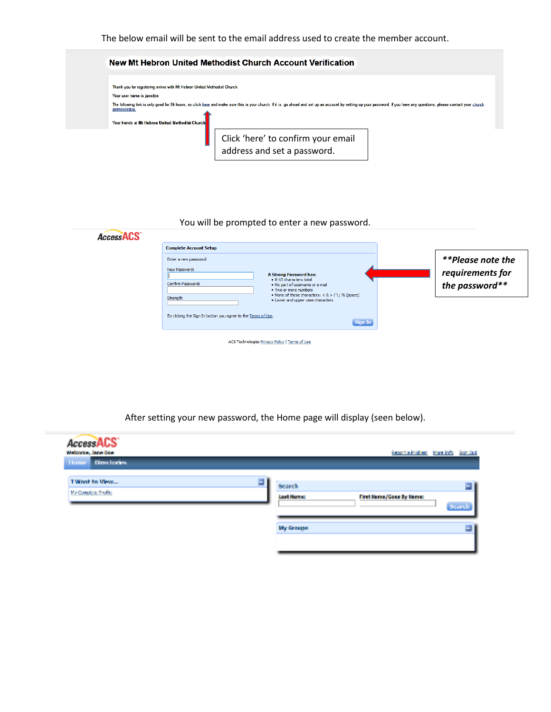The below email will be sent to the email address used to create the member account.



## You will be prompted to enter a new password.

 $\sim$ 

|--|

After setting your new password, the Home page will display (seen below).

| <b>AccessACS</b><br>Welcome, Jane Doe<br><b>Directories</b><br><b>Home</b> |   |               | <b>Report a Froblem</b>  | <b>More Info.</b> Son Out |
|----------------------------------------------------------------------------|---|---------------|--------------------------|---------------------------|
| TWont to View                                                              | 扈 | <b>Search</b> |                          | $\equiv$                  |
| My Comdete Profile                                                         |   | Last Hame:    | First Hame/Goes By Hame: | Search                    |
|                                                                            |   | My Groups:    |                          | Ξ                         |
|                                                                            |   |               |                          |                           |